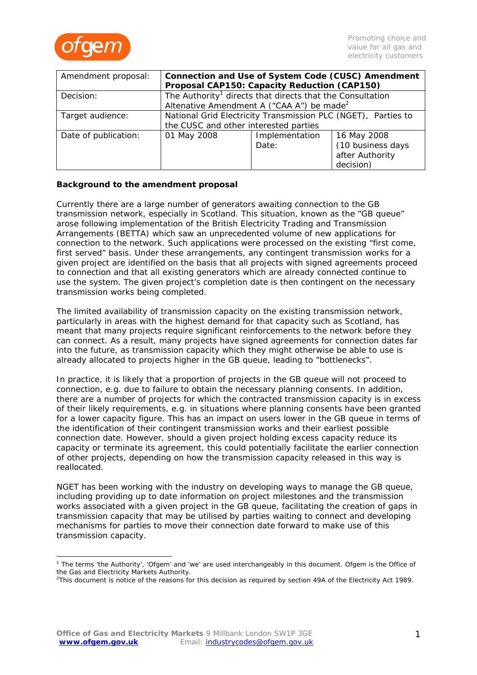

| Amendment proposal:  | Connection and Use of System Code (CUSC) Amendment                    |                |                   |
|----------------------|-----------------------------------------------------------------------|----------------|-------------------|
|                      | Proposal CAP150: Capacity Reduction (CAP150)                          |                |                   |
| Decision:            | The Authority <sup>1</sup> directs that directs that the Consultation |                |                   |
|                      | Altenative Amendment A ("CAA $A$ ") be made <sup>2</sup>              |                |                   |
| Target audience:     | National Grid Electricity Transmission PLC (NGET), Parties to         |                |                   |
|                      | the CUSC and other interested parties                                 |                |                   |
| Date of publication: | 01 May 2008                                                           | Implementation | 16 May 2008       |
|                      |                                                                       | Date:          | (10 business days |
|                      |                                                                       |                | after Authority   |
|                      |                                                                       |                | decision)         |

## **Background to the amendment proposal**

Currently there are a large number of generators awaiting connection to the GB transmission network, especially in Scotland. This situation, known as the "GB queue" arose following implementation of the British Electricity Trading and Transmission Arrangements (BETTA) which saw an unprecedented volume of new applications for connection to the network. Such applications were processed on the existing "first come, first served" basis. Under these arrangements, any contingent transmission works for a given project are identified on the basis that all projects with signed agreements proceed to connection and that all existing generators which are already connected continue to use the system. The given project's completion date is then contingent on the necessary transmission works being completed.

The limited availability of transmission capacity on the existing transmission network, particularly in areas with the highest demand for that capacity such as Scotland, has meant that many projects require significant reinforcements to the network before they can connect. As a result, many projects have signed agreements for connection dates far into the future, as transmission capacity which they might otherwise be able to use is already allocated to projects higher in the GB queue, leading to "bottlenecks".

In practice, it is likely that a proportion of projects in the GB queue will not proceed to connection, e.g. due to failure to obtain the necessary planning consents. In addition, there are a number of projects for which the contracted transmission capacity is in excess of their likely requirements, e.g. in situations where planning consents have been granted for a lower capacity figure. This has an impact on users lower in the GB queue in terms of the identification of their contingent transmission works and their earliest possible connection date. However, should a given project holding excess capacity reduce its capacity or terminate its agreement, this could potentially facilitate the earlier connection of other projects, depending on how the transmission capacity released in this way is reallocated.

NGET has been working with the industry on developing ways to manage the GB queue, including providing up to date information on project milestones and the transmission works associated with a given project in the GB queue, facilitating the creation of gaps in transmission capacity that may be utilised by parties waiting to connect and developing mechanisms for parties to move their connection date forward to make use of this transmission capacity.

<sup>&</sup>lt;sup>1</sup> The terms 'the Authority', 'Ofgem' and 'we' are used interchangeably in this document. Ofgem is the Office of the Gas and Electricity Markets Authority.

<sup>&</sup>lt;sup>2</sup>This document is notice of the reasons for this decision as required by section 49A of the Electricity Act 1989.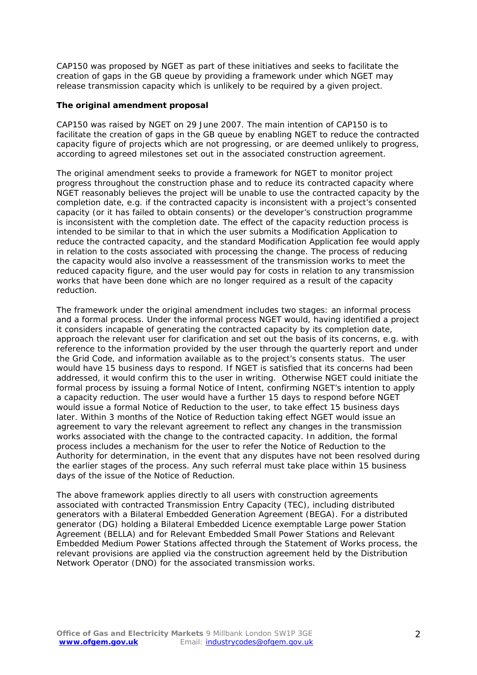CAP150 was proposed by NGET as part of these initiatives and seeks to facilitate the creation of gaps in the GB queue by providing a framework under which NGET may release transmission capacity which is unlikely to be required by a given project.

#### **The original amendment proposal**

CAP150 was raised by NGET on 29 June 2007. The main intention of CAP150 is to facilitate the creation of gaps in the GB queue by enabling NGET to reduce the contracted capacity figure of projects which are not progressing, or are deemed unlikely to progress, according to agreed milestones set out in the associated construction agreement.

The original amendment seeks to provide a framework for NGET to monitor project progress throughout the construction phase and to reduce its contracted capacity where NGET reasonably believes the project will be unable to use the contracted capacity by the completion date, e.g. if the contracted capacity is inconsistent with a project's consented capacity (or it has failed to obtain consents) or the developer's construction programme is inconsistent with the completion date. The effect of the capacity reduction process is intended to be similar to that in which the user submits a Modification Application to reduce the contracted capacity, and the standard Modification Application fee would apply in relation to the costs associated with processing the change. The process of reducing the capacity would also involve a reassessment of the transmission works to meet the reduced capacity figure, and the user would pay for costs in relation to any transmission works that have been done which are no longer required as a result of the capacity reduction.

The framework under the original amendment includes two stages: an informal process and a formal process. Under the informal process NGET would, having identified a project it considers incapable of generating the contracted capacity by its completion date, approach the relevant user for clarification and set out the basis of its concerns, e.g. with reference to the information provided by the user through the quarterly report and under the Grid Code, and information available as to the project's consents status. The user would have 15 business days to respond. If NGET is satisfied that its concerns had been addressed, it would confirm this to the user in writing. Otherwise NGET could initiate the formal process by issuing a formal Notice of Intent, confirming NGET's intention to apply a capacity reduction. The user would have a further 15 days to respond before NGET would issue a formal Notice of Reduction to the user, to take effect 15 business days later. Within 3 months of the Notice of Reduction taking effect NGET would issue an agreement to vary the relevant agreement to reflect any changes in the transmission works associated with the change to the contracted capacity. In addition, the formal process includes a mechanism for the user to refer the Notice of Reduction to the Authority for determination, in the event that any disputes have not been resolved during the earlier stages of the process. Any such referral must take place within 15 business days of the issue of the Notice of Reduction.

The above framework applies directly to all users with construction agreements associated with contracted Transmission Entry Capacity (TEC), including distributed generators with a Bilateral Embedded Generation Agreement (BEGA). For a distributed generator (DG) holding a Bilateral Embedded Licence exemptable Large power Station Agreement (BELLA) and for Relevant Embedded Small Power Stations and Relevant Embedded Medium Power Stations affected through the Statement of Works process, the relevant provisions are applied via the construction agreement held by the Distribution Network Operator (DNO) for the associated transmission works.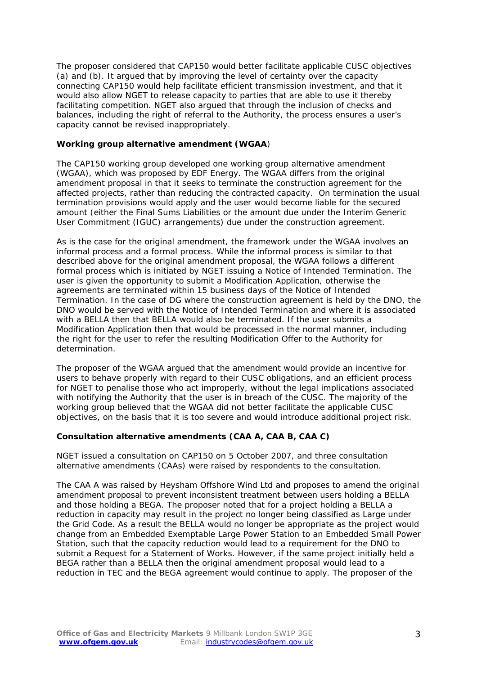The proposer considered that CAP150 would better facilitate applicable CUSC objectives (a) and (b). It argued that by improving the level of certainty over the capacity connecting CAP150 would help facilitate efficient transmission investment, and that it would also allow NGET to release capacity to parties that are able to use it thereby facilitating competition. NGET also argued that through the inclusion of checks and balances, including the right of referral to the Authority, the process ensures a user's capacity cannot be revised inappropriately.

### **Working group alternative amendment (WGAA**)

The CAP150 working group developed one working group alternative amendment (WGAA), which was proposed by EDF Energy. The WGAA differs from the original amendment proposal in that it seeks to terminate the construction agreement for the affected projects, rather than reducing the contracted capacity. On termination the usual termination provisions would apply and the user would become liable for the secured amount (either the Final Sums Liabilities or the amount due under the Interim Generic User Commitment (IGUC) arrangements) due under the construction agreement.

As is the case for the original amendment, the framework under the WGAA involves an informal process and a formal process. While the informal process is similar to that described above for the original amendment proposal, the WGAA follows a different formal process which is initiated by NGET issuing a Notice of Intended Termination. The user is given the opportunity to submit a Modification Application, otherwise the agreements are terminated within 15 business days of the Notice of Intended Termination. In the case of DG where the construction agreement is held by the DNO, the DNO would be served with the Notice of Intended Termination and where it is associated with a BELLA then that BELLA would also be terminated. If the user submits a Modification Application then that would be processed in the normal manner, including the right for the user to refer the resulting Modification Offer to the Authority for determination.

The proposer of the WGAA argued that the amendment would provide an incentive for users to behave properly with regard to their CUSC obligations, and an efficient process for NGET to penalise those who act improperly, without the legal implications associated with notifying the Authority that the user is in breach of the CUSC. The majority of the working group believed that the WGAA did not better facilitate the applicable CUSC objectives, on the basis that it is too severe and would introduce additional project risk.

# **Consultation alternative amendments (CAA A, CAA B, CAA C)**

NGET issued a consultation on CAP150 on 5 October 2007, and three consultation alternative amendments (CAAs) were raised by respondents to the consultation.

The CAA A was raised by Heysham Offshore Wind Ltd and proposes to amend the original amendment proposal to prevent inconsistent treatment between users holding a BELLA and those holding a BEGA. The proposer noted that for a project holding a BELLA a reduction in capacity may result in the project no longer being classified as Large under the Grid Code. As a result the BELLA would no longer be appropriate as the project would change from an Embedded Exemptable Large Power Station to an Embedded Small Power Station, such that the capacity reduction would lead to a requirement for the DNO to submit a Request for a Statement of Works. However, if the same project initially held a BEGA rather than a BELLA then the original amendment proposal would lead to a reduction in TEC and the BEGA agreement would continue to apply. The proposer of the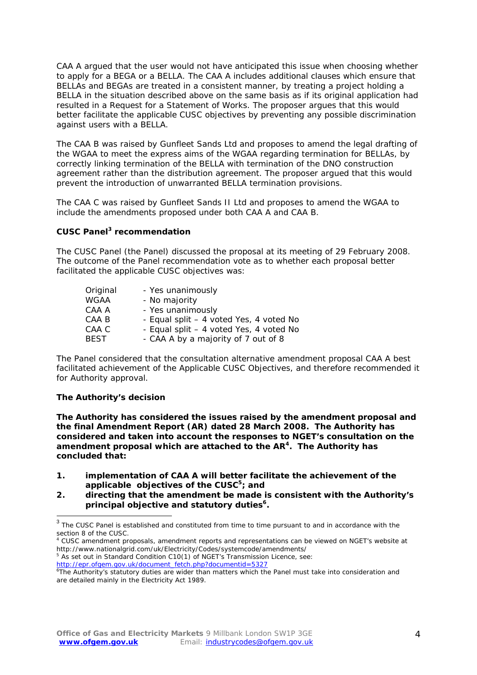CAA A argued that the user would not have anticipated this issue when choosing whether to apply for a BEGA or a BELLA. The CAA A includes additional clauses which ensure that BELLAs and BEGAs are treated in a consistent manner, by treating a project holding a BELLA in the situation described above on the same basis as if its original application had resulted in a Request for a Statement of Works. The proposer argues that this would better facilitate the applicable CUSC objectives by preventing any possible discrimination against users with a BELLA.

The CAA B was raised by Gunfleet Sands Ltd and proposes to amend the legal drafting of the WGAA to meet the express aims of the WGAA regarding termination for BELLAs, by correctly linking termination of the BELLA with termination of the DNO construction agreement rather than the distribution agreement. The proposer argued that this would prevent the introduction of unwarranted BELLA termination provisions.

The CAA C was raised by Gunfleet Sands II Ltd and proposes to amend the WGAA to include the amendments proposed under both CAA A and CAA B.

#### **CUSC Panel3 recommendation**

The CUSC Panel (the Panel) discussed the proposal at its meeting of 29 February 2008. The outcome of the Panel recommendation vote as to whether each proposal better facilitated the applicable CUSC objectives was:

| Original | - Yes unanimously                       |
|----------|-----------------------------------------|
| WGAA     | - No majority                           |
| CAA A    | - Yes unanimously                       |
| CAA B    | - Equal split – 4 voted Yes, 4 voted No |
| CAA C    | - Equal split - 4 voted Yes, 4 voted No |
| BEST     | - CAA A by a majority of 7 out of 8     |

The Panel considered that the consultation alternative amendment proposal CAA A best facilitated achievement of the Applicable CUSC Objectives, and therefore recommended it for Authority approval.

#### **The Authority's decision**

**The Authority has considered the issues raised by the amendment proposal and the final Amendment Report (AR) dated 28 March 2008. The Authority has considered and taken into account the responses to NGET's consultation on the amendment proposal which are attached to the AR4. The Authority has concluded that:** 

- **1. implementation of CAA A will better facilitate the achievement of the applicable objectives of the CUSC5; and**
- **2. directing that the amendment be made is consistent with the Authority's**  principal objective and statutory duties<sup>6</sup>.

<sup>5</sup> As set out in Standard Condition C10(1) of NGET's Transmission Licence, see:

 $^3$  The CUSC Panel is established and constituted from time to time pursuant to and in accordance with the section 8 of the CUSC.

<sup>4</sup> CUSC amendment proposals, amendment reports and representations can be viewed on NGET's website at http://www.nationalgrid.com/uk/Electricity/Codes/systemcode/amendments/

http://epr.ofgem.gov.uk/document\_fetch.php?documentid=5327

<sup>6</sup> The Authority's statutory duties are wider than matters which the Panel must take into consideration and are detailed mainly in the Electricity Act 1989.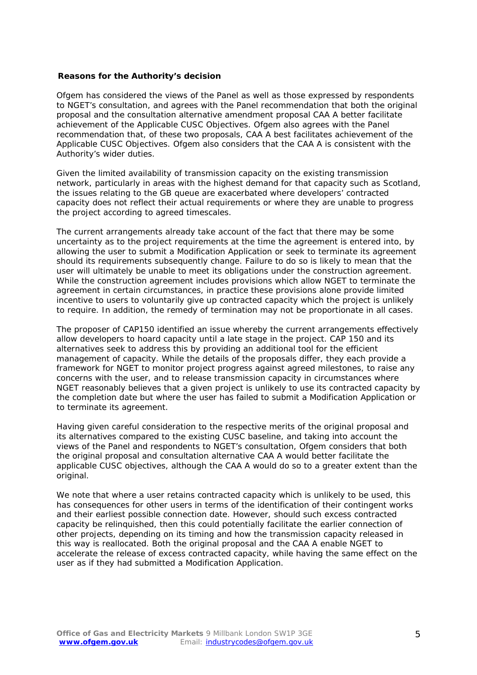#### **Reasons for the Authority's decision**

Ofgem has considered the views of the Panel as well as those expressed by respondents to NGET's consultation, and agrees with the Panel recommendation that both the original proposal and the consultation alternative amendment proposal CAA A better facilitate achievement of the Applicable CUSC Objectives. Ofgem also agrees with the Panel recommendation that, of these two proposals, CAA A best facilitates achievement of the Applicable CUSC Objectives. Ofgem also considers that the CAA A is consistent with the Authority's wider duties.

Given the limited availability of transmission capacity on the existing transmission network, particularly in areas with the highest demand for that capacity such as Scotland, the issues relating to the GB queue are exacerbated where developers' contracted capacity does not reflect their actual requirements or where they are unable to progress the project according to agreed timescales.

The current arrangements already take account of the fact that there may be some uncertainty as to the project requirements at the time the agreement is entered into, by allowing the user to submit a Modification Application or seek to terminate its agreement should its requirements subsequently change. Failure to do so is likely to mean that the user will ultimately be unable to meet its obligations under the construction agreement. While the construction agreement includes provisions which allow NGET to terminate the agreement in certain circumstances, in practice these provisions alone provide limited incentive to users to voluntarily give up contracted capacity which the project is unlikely to require. In addition, the remedy of termination may not be proportionate in all cases.

The proposer of CAP150 identified an issue whereby the current arrangements effectively allow developers to hoard capacity until a late stage in the project. CAP 150 and its alternatives seek to address this by providing an additional tool for the efficient management of capacity. While the details of the proposals differ, they each provide a framework for NGET to monitor project progress against agreed milestones, to raise any concerns with the user, and to release transmission capacity in circumstances where NGET reasonably believes that a given project is unlikely to use its contracted capacity by the completion date but where the user has failed to submit a Modification Application or to terminate its agreement.

Having given careful consideration to the respective merits of the original proposal and its alternatives compared to the existing CUSC baseline, and taking into account the views of the Panel and respondents to NGET's consultation, Ofgem considers that both the original proposal and consultation alternative CAA A would better facilitate the applicable CUSC objectives, although the CAA A would do so to a greater extent than the original.

We note that where a user retains contracted capacity which is unlikely to be used, this has consequences for other users in terms of the identification of their contingent works and their earliest possible connection date. However, should such excess contracted capacity be relinquished, then this could potentially facilitate the earlier connection of other projects, depending on its timing and how the transmission capacity released in this way is reallocated. Both the original proposal and the CAA A enable NGET to accelerate the release of excess contracted capacity, while having the same effect on the user as if they had submitted a Modification Application.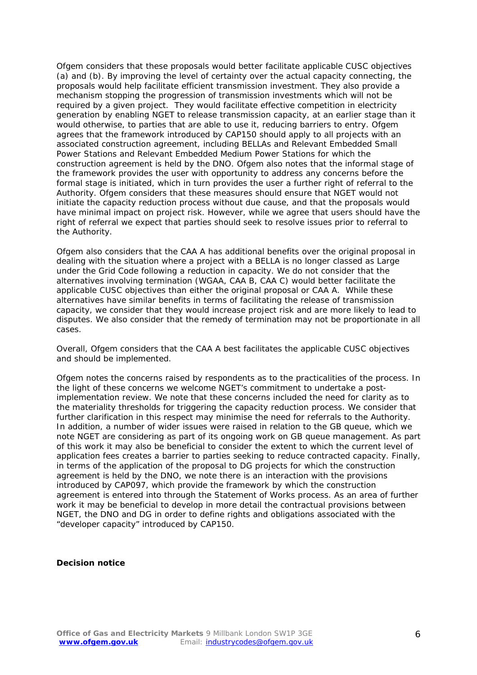Ofgem considers that these proposals would better facilitate applicable CUSC objectives (a) and (b). By improving the level of certainty over the actual capacity connecting, the proposals would help facilitate efficient transmission investment. They also provide a mechanism stopping the progression of transmission investments which will not be required by a given project. They would facilitate effective competition in electricity generation by enabling NGET to release transmission capacity, at an earlier stage than it would otherwise, to parties that are able to use it, reducing barriers to entry. Ofgem agrees that the framework introduced by CAP150 should apply to all projects with an associated construction agreement, including BELLAs and Relevant Embedded Small Power Stations and Relevant Embedded Medium Power Stations for which the construction agreement is held by the DNO. Ofgem also notes that the informal stage of the framework provides the user with opportunity to address any concerns before the formal stage is initiated, which in turn provides the user a further right of referral to the Authority. Ofgem considers that these measures should ensure that NGET would not initiate the capacity reduction process without due cause, and that the proposals would have minimal impact on project risk. However, while we agree that users should have the right of referral we expect that parties should seek to resolve issues prior to referral to the Authority.

Ofgem also considers that the CAA A has additional benefits over the original proposal in dealing with the situation where a project with a BELLA is no longer classed as Large under the Grid Code following a reduction in capacity. We do not consider that the alternatives involving termination (WGAA, CAA B, CAA C) would better facilitate the applicable CUSC objectives than either the original proposal or CAA A. While these alternatives have similar benefits in terms of facilitating the release of transmission capacity, we consider that they would increase project risk and are more likely to lead to disputes. We also consider that the remedy of termination may not be proportionate in all cases.

Overall, Ofgem considers that the CAA A best facilitates the applicable CUSC objectives and should be implemented.

Ofgem notes the concerns raised by respondents as to the practicalities of the process. In the light of these concerns we welcome NGET's commitment to undertake a postimplementation review. We note that these concerns included the need for clarity as to the materiality thresholds for triggering the capacity reduction process. We consider that further clarification in this respect may minimise the need for referrals to the Authority. In addition, a number of wider issues were raised in relation to the GB queue, which we note NGET are considering as part of its ongoing work on GB queue management. As part of this work it may also be beneficial to consider the extent to which the current level of application fees creates a barrier to parties seeking to reduce contracted capacity. Finally, in terms of the application of the proposal to DG projects for which the construction agreement is held by the DNO, we note there is an interaction with the provisions introduced by CAP097, which provide the framework by which the construction agreement is entered into through the Statement of Works process. As an area of further work it may be beneficial to develop in more detail the contractual provisions between NGET, the DNO and DG in order to define rights and obligations associated with the "developer capacity" introduced by CAP150.

#### **Decision notice**